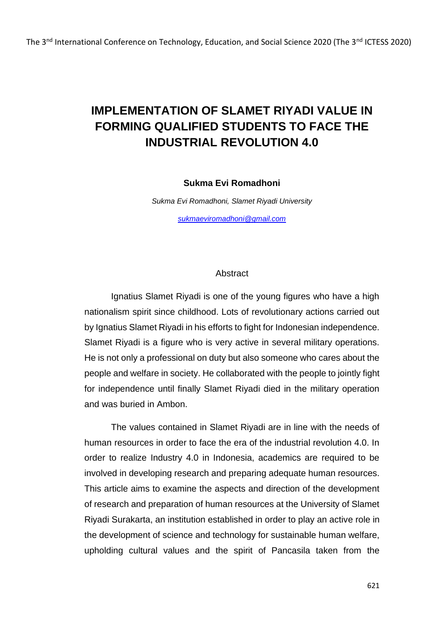# **IMPLEMENTATION OF SLAMET RIYADI VALUE IN FORMING QUALIFIED STUDENTS TO FACE THE INDUSTRIAL REVOLUTION 4.0**

#### **Sukma Evi Romadhoni**

*Sukma Evi Romadhoni, Slamet Riyadi University [sukmaeviromadhoni@gmail.com](mailto:sukmaeviromadhoni@gmail.com)*

### Abstract

Ignatius Slamet Riyadi is one of the young figures who have a high nationalism spirit since childhood. Lots of revolutionary actions carried out by Ignatius Slamet Riyadi in his efforts to fight for Indonesian independence. Slamet Riyadi is a figure who is very active in several military operations. He is not only a professional on duty but also someone who cares about the people and welfare in society. He collaborated with the people to jointly fight for independence until finally Slamet Riyadi died in the military operation and was buried in Ambon.

The values contained in Slamet Riyadi are in line with the needs of human resources in order to face the era of the industrial revolution 4.0. In order to realize Industry 4.0 in Indonesia, academics are required to be involved in developing research and preparing adequate human resources. This article aims to examine the aspects and direction of the development of research and preparation of human resources at the University of Slamet Riyadi Surakarta, an institution established in order to play an active role in the development of science and technology for sustainable human welfare, upholding cultural values and the spirit of Pancasila taken from the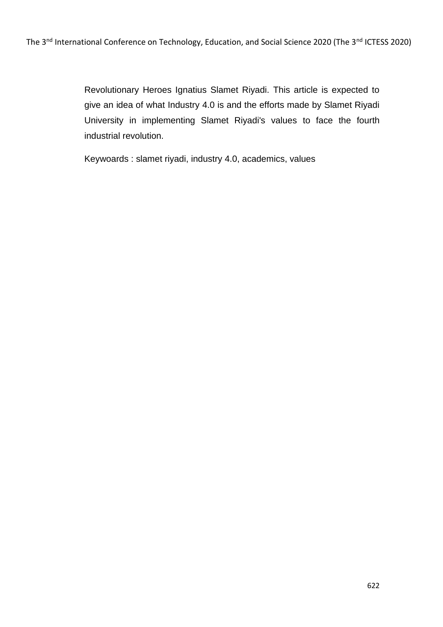Revolutionary Heroes Ignatius Slamet Riyadi. This article is expected to give an idea of what Industry 4.0 is and the efforts made by Slamet Riyadi University in implementing Slamet Riyadi's values to face the fourth industrial revolution.

Keywoards : slamet riyadi, industry 4.0, academics, values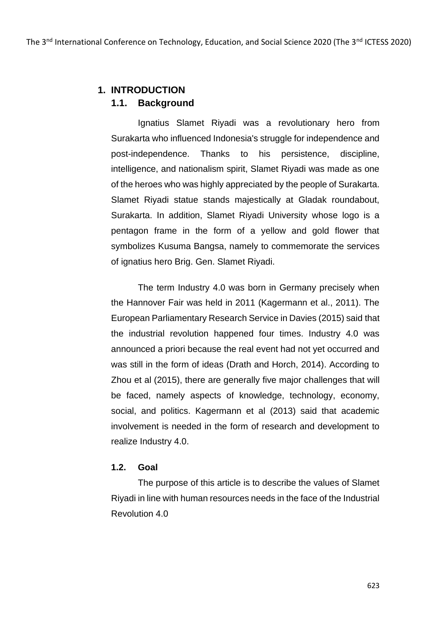# **1. INTRODUCTION**

### **1.1. Background**

Ignatius Slamet Riyadi was a revolutionary hero from Surakarta who influenced Indonesia's struggle for independence and post-independence. Thanks to his persistence, discipline, intelligence, and nationalism spirit, Slamet Riyadi was made as one of the heroes who was highly appreciated by the people of Surakarta. Slamet Riyadi statue stands majestically at Gladak roundabout, Surakarta. In addition, Slamet Riyadi University whose logo is a pentagon frame in the form of a yellow and gold flower that symbolizes Kusuma Bangsa, namely to commemorate the services of ignatius hero Brig. Gen. Slamet Riyadi.

The term Industry 4.0 was born in Germany precisely when the Hannover Fair was held in 2011 (Kagermann et al., 2011). The European Parliamentary Research Service in Davies (2015) said that the industrial revolution happened four times. Industry 4.0 was announced a priori because the real event had not yet occurred and was still in the form of ideas (Drath and Horch, 2014). According to Zhou et al (2015), there are generally five major challenges that will be faced, namely aspects of knowledge, technology, economy, social, and politics. Kagermann et al (2013) said that academic involvement is needed in the form of research and development to realize Industry 4.0.

#### **1.2. Goal**

The purpose of this article is to describe the values of Slamet Riyadi in line with human resources needs in the face of the Industrial Revolution 4.0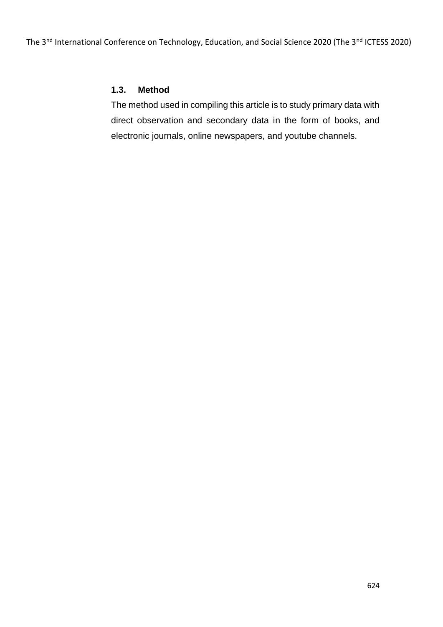## **1.3. Method**

The method used in compiling this article is to study primary data with direct observation and secondary data in the form of books, and electronic journals, online newspapers, and youtube channels.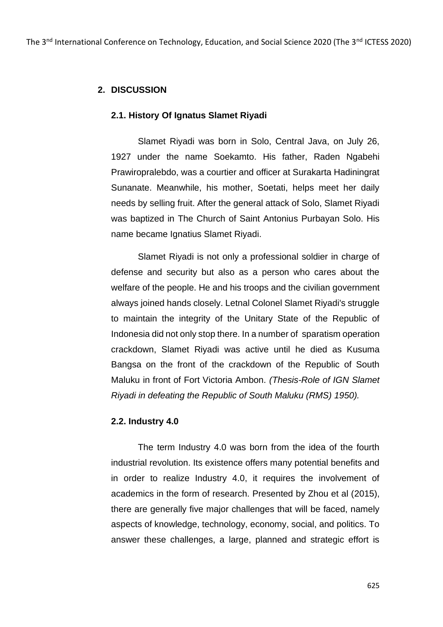# **2. DISCUSSION**

#### **2.1. History Of Ignatus Slamet Riyadi**

Slamet Riyadi was born in Solo, Central Java, on July 26, 1927 under the name Soekamto. His father, Raden Ngabehi Prawiropralebdo, was a courtier and officer at Surakarta Hadiningrat Sunanate. Meanwhile, his mother, Soetati, helps meet her daily needs by selling fruit. After the general attack of Solo, Slamet Riyadi was baptized in The Church of Saint Antonius Purbayan Solo. His name became Ignatius Slamet Riyadi.

Slamet Riyadi is not only a professional soldier in charge of defense and security but also as a person who cares about the welfare of the people. He and his troops and the civilian government always joined hands closely. Letnal Colonel Slamet Riyadi's struggle to maintain the integrity of the Unitary State of the Republic of Indonesia did not only stop there. In a number of sparatism operation crackdown, Slamet Riyadi was active until he died as Kusuma Bangsa on the front of the crackdown of the Republic of South Maluku in front of Fort Victoria Ambon. *(Thesis-Role of IGN Slamet Riyadi in defeating the Republic of South Maluku (RMS) 1950).*

#### **2.2. Industry 4.0**

The term Industry 4.0 was born from the idea of the fourth industrial revolution. Its existence offers many potential benefits and in order to realize Industry 4.0, it requires the involvement of academics in the form of research. Presented by Zhou et al (2015), there are generally five major challenges that will be faced, namely aspects of knowledge, technology, economy, social, and politics. To answer these challenges, a large, planned and strategic effort is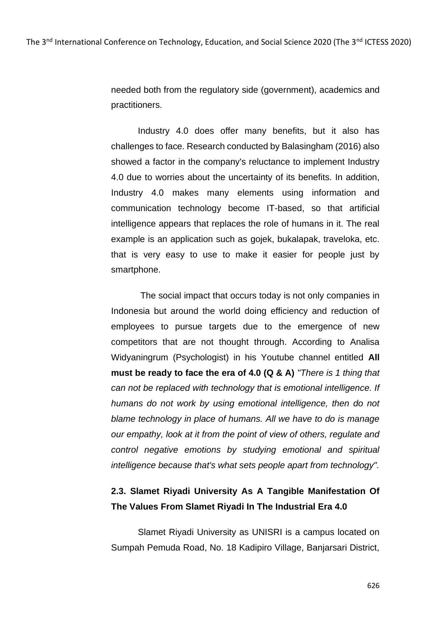needed both from the regulatory side (government), academics and practitioners.

Industry 4.0 does offer many benefits, but it also has challenges to face. Research conducted by Balasingham (2016) also showed a factor in the company's reluctance to implement Industry 4.0 due to worries about the uncertainty of its benefits. In addition, Industry 4.0 makes many elements using information and communication technology become IT-based, so that artificial intelligence appears that replaces the role of humans in it. The real example is an application such as gojek, bukalapak, traveloka, etc. that is very easy to use to make it easier for people just by smartphone.

The social impact that occurs today is not only companies in Indonesia but around the world doing efficiency and reduction of employees to pursue targets due to the emergence of new competitors that are not thought through. According to Analisa Widyaningrum (Psychologist) in his Youtube channel entitled **All must be ready to face the era of 4.0 (Q & A)** *"There is 1 thing that can not be replaced with technology that is emotional intelligence. If humans do not work by using emotional intelligence, then do not blame technology in place of humans. All we have to do is manage our empathy, look at it from the point of view of others, regulate and control negative emotions by studying emotional and spiritual intelligence because that's what sets people apart from technology".*

# **2.3. Slamet Riyadi University As A Tangible Manifestation Of The Values From Slamet Riyadi In The Industrial Era 4.0**

Slamet Riyadi University as UNISRI is a campus located on Sumpah Pemuda Road, No. 18 Kadipiro Village, Banjarsari District,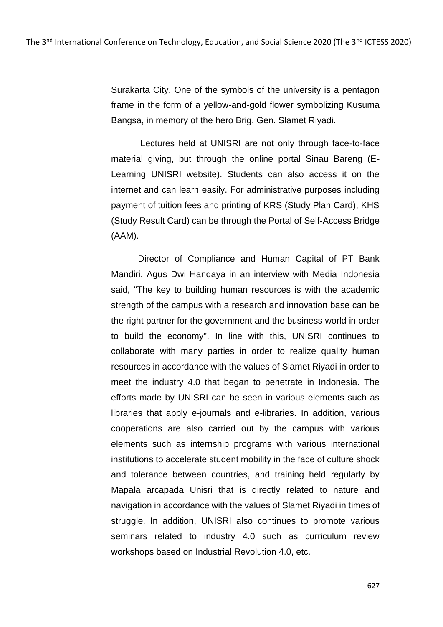Surakarta City. One of the symbols of the university is a pentagon frame in the form of a yellow-and-gold flower symbolizing Kusuma Bangsa, in memory of the hero Brig. Gen. Slamet Riyadi.

Lectures held at UNISRI are not only through face-to-face material giving, but through the online portal Sinau Bareng (E-Learning UNISRI website). Students can also access it on the internet and can learn easily. For administrative purposes including payment of tuition fees and printing of KRS (Study Plan Card), KHS (Study Result Card) can be through the Portal of Self-Access Bridge (AAM).

Director of Compliance and Human Capital of PT Bank Mandiri, Agus Dwi Handaya in an interview with Media Indonesia said, "The key to building human resources is with the academic strength of the campus with a research and innovation base can be the right partner for the government and the business world in order to build the economy". In line with this, UNISRI continues to collaborate with many parties in order to realize quality human resources in accordance with the values of Slamet Riyadi in order to meet the industry 4.0 that began to penetrate in Indonesia. The efforts made by UNISRI can be seen in various elements such as libraries that apply e-journals and e-libraries. In addition, various cooperations are also carried out by the campus with various elements such as internship programs with various international institutions to accelerate student mobility in the face of culture shock and tolerance between countries, and training held regularly by Mapala arcapada Unisri that is directly related to nature and navigation in accordance with the values of Slamet Riyadi in times of struggle. In addition, UNISRI also continues to promote various seminars related to industry 4.0 such as curriculum review workshops based on Industrial Revolution 4.0, etc.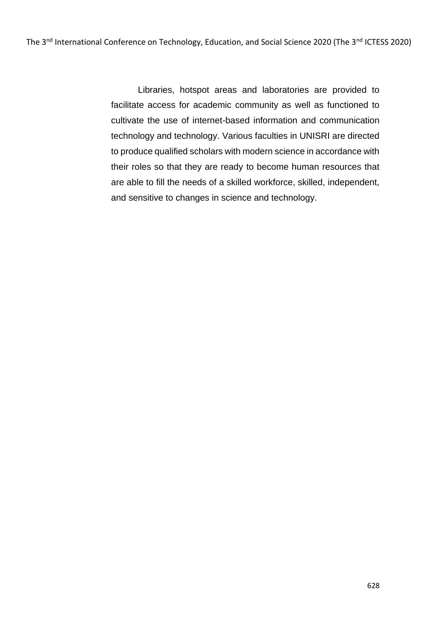Libraries, hotspot areas and laboratories are provided to facilitate access for academic community as well as functioned to cultivate the use of internet-based information and communication technology and technology. Various faculties in UNISRI are directed to produce qualified scholars with modern science in accordance with their roles so that they are ready to become human resources that are able to fill the needs of a skilled workforce, skilled, independent, and sensitive to changes in science and technology.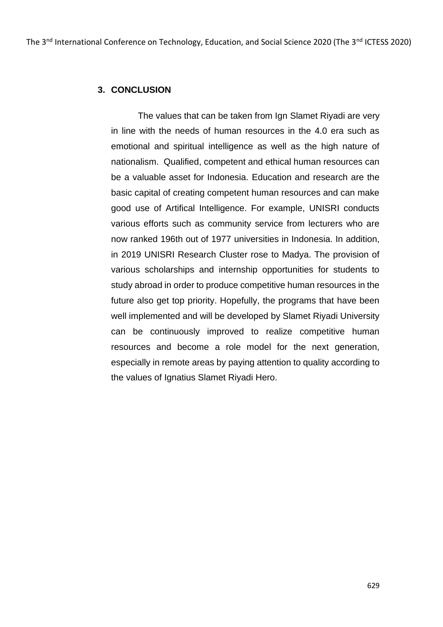# **3. CONCLUSION**

The values that can be taken from Ign Slamet Riyadi are very in line with the needs of human resources in the 4.0 era such as emotional and spiritual intelligence as well as the high nature of nationalism. Qualified, competent and ethical human resources can be a valuable asset for Indonesia. Education and research are the basic capital of creating competent human resources and can make good use of Artifical Intelligence. For example, UNISRI conducts various efforts such as community service from lecturers who are now ranked 196th out of 1977 universities in Indonesia. In addition, in 2019 UNISRI Research Cluster rose to Madya. The provision of various scholarships and internship opportunities for students to study abroad in order to produce competitive human resources in the future also get top priority. Hopefully, the programs that have been well implemented and will be developed by Slamet Riyadi University can be continuously improved to realize competitive human resources and become a role model for the next generation, especially in remote areas by paying attention to quality according to the values of Ignatius Slamet Riyadi Hero.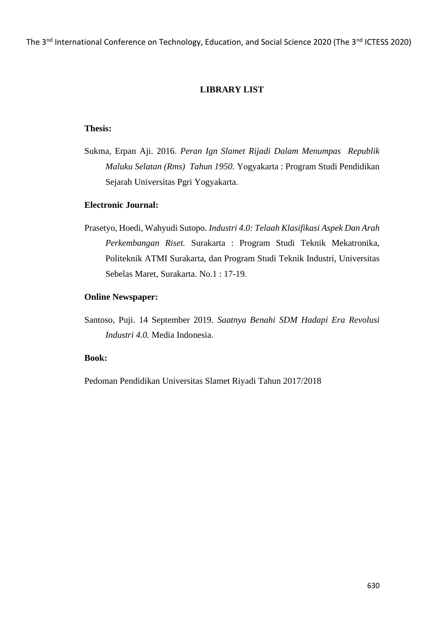The 3<sup>nd</sup> International Conference on Technology, Education, and Social Science 2020 (The 3<sup>nd</sup> ICTESS 2020)

### **LIBRARY LIST**

#### **Thesis:**

Sukma, Erpan Aji. 2016. *Peran Ign Slamet Rijadi Dalam Menumpas Republik Maluku Selatan (Rms) Tahun 1950.* Yogyakarta : Program Studi Pendidikan Sejarah Universitas Pgri Yogyakarta.

### **Electronic Journal:**

Prasetyo, Hoedi, Wahyudi Sutopo. *Industri 4.0: Telaah Klasifikasi Aspek Dan Arah Perkembangan Riset.* Surakarta : Program Studi Teknik Mekatronika, Politeknik ATMI Surakarta, dan Program Studi Teknik Industri, Universitas Sebelas Maret, Surakarta. No.1 : 17-19.

#### **Online Newspaper:**

Santoso, Puji. 14 September 2019. *Saatnya Benahi SDM Hadapi Era Revolusi Industri 4.0.* Media Indonesia.

#### **Book:**

Pedoman Pendidikan Universitas Slamet Riyadi Tahun 2017/2018